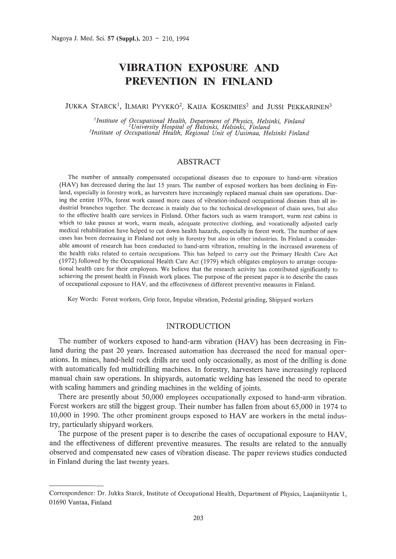# **vmRATION EXPOSURE AND PREVENTION IN FINLAND**

JUKKA STARCK<sup>1</sup>, ILMARI PYYKKÖ<sup>2</sup>, KAIJA KOSKIMIES<sup>2</sup> and JUSSI PEKKARINEN<sup>3</sup>

<sup>1</sup>Institute of Occupational Health, Department of Physics, Helsinki, Finland<br><sup>2</sup>University Hospital of Helsinki, Helsinki, Finland<br><sup>3</sup>Institute of Occupational Health, Regional Unit of Uusimaa, Helsinki Finland

# ABSTRACT

The number of annually compensated occupational diseases due to exposure to hand-arm vibration (HAY) has decreased during the last 15 years. The number of exposed workers has been declining in Finland, especially in forestry work, as harvesters have increasingly replaced manual chain saw operations. During the entire 1970s, forest work caused more cases of vibration-induced occupational diseases than all industrial branches together. The decrease is mainly due to the technical development of chain saws, but also to the effective health care services in Finland. Other factors such as warm transport, warm rest cabins in which to take pauses at work, warm meals, adequate protective clothing, and vocationally adjusted early medical rehabilitation have helped to cut down health hazards, especially in forest work. The number of new cases has been decreasing in Finland not only in forestry but also in other industries. In Finland a considerable amount of research has been conducted to hand-arm vibration, resulting in the increased awareness of the health risks related to certain occupations. This has helped to carry out the Primary Health Care Act (1972) followed by the Occupational Health Care Act (1979) which obligates employers to arrange occupational health care for their employees. We believe that the research activity has contributed significantly to achieving the present health in Finnish work places. The purpose of the present paper is to describe the cases of occupational exposure to HAY, and the effectiveness of different preventive measures in Finland.

Key Words: Forest workers, Grip force, Impulse vibration, Pedestal grinding, Shipyard workers

# INTRODUCTION

The number of workers exposed to hand-arm vibration (HAV) has been decreasing in Finland during the past 20 years. Increased automation has decreased the need for manual operations. In mines, hand-held rock drills are used only occasionally, as most of the drilling is done with automatically fed multidrilling machines. In forestry, harvesters have increasingly replaced manual chain saw operations. In shipyards, automatic welding has lessened the need to operate with scaling hammers and grinding machines in the welding of joints.

There are presently about 50,000 employees occupationally exposed to hand-arm vibration. Forest workers are still the biggest group. Their number has fallen from about 65,000 in 1974 to 10,000 in 1990. The other prominent groups exposed to HAV are workers in the metal industry, particularly shipyard workers.

The purpose of the present paper is to describe the cases of occupational exposure to HAV, and the effectiveness of different preventive measures. The results are related to the annually observed and compensated new cases of vibration disease. The paper reviews studies conducted in Finland during the last twenty years.

Correspondence: Dr. Jukka Starck, Institute of Occupational Health, Department of Physics, Laajaniityntie 1, 01690 Vantaa, Finland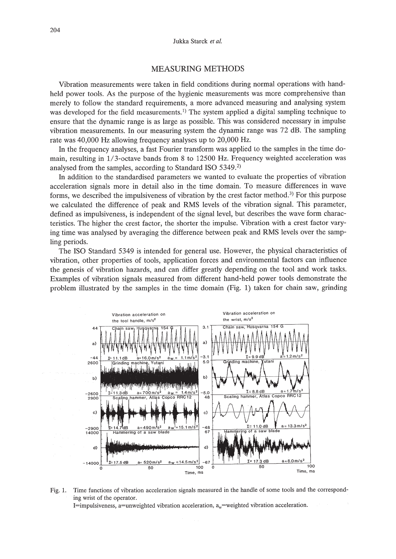## MEASURING METHODS

Vibration measurements were taken in field conditions during normal operations with handheld power tools. As the purpose of the hygienic measurements was more comprehensive than merely to follow the standard requirements, a more advanced measuring and analysing system was developed for the field measurements.<sup>1)</sup> The system applied a digital sampling technique to ensure that the dynamic range is as large as possible. This was considered necessary in impulse vibration measurements. In our measuring system the dynamic range was 72 dB. The sampling rate was 40,000 Hz allowing frequency analyses up to 20,000 Hz.

In the frequency analyses, a fast Fourier transform was applied to the samples in the time domain, resulting in l/3-octave bands from 8 to 12500 Hz. Frequency weighted acceleration was analysed from the samples, according to Standard ISO 5349.<sup>2)</sup>

In addition to the standardised parameters we wanted to evaluate the properties of vibration acceleration signals more in detail also in the time domain. To measure differences in wave forms, we described the impulsiveness of vibration by the crest factor method.<sup>3</sup>) For this purpose we calculated the difference of peak and RMS levels of the vibration signal. This parameter, defined as impulsiveness, is independent of the signal level, but describes the wave form characteristics. The higher the crest factor, the shorter the impulse. Vibration with a crest factor varying time was analysed by averaging the difference between peak and RMS levels over the sampling periods.

The ISO Standard 5349 is intended for general use. However, the physical characteristics of vibration, other properties of tools, application forces and environmental factors can influence the genesis of vibration hazards, and can differ greatly depending on the tool and work tasks. Examples of vibration signals measured from different hand-held power tools demonstrate the problem illustrated by the samples in the time domain (Fig. 1) taken for chain saw, grinding



Fig. 1. Time functions of vibration acceleration signals measured in the handle of some tools and the corresponding wrist of the operator.  $I =$ impulsiveness, a=unweighted vibration acceleration,  $a_w$ =weighted vibration acceleration.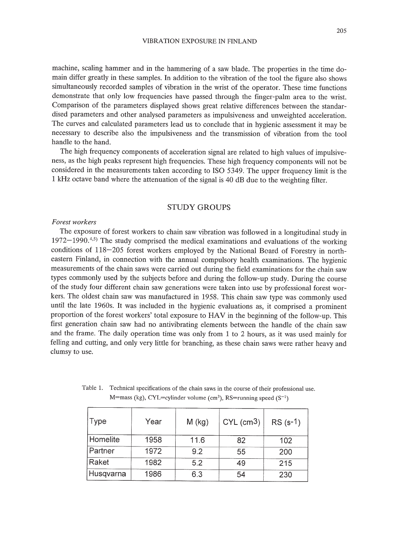machine, scaling hammer and in the hammering of a saw blade. The properties in the time domain differ greatly in these samples. In addition to the vibration of the tool the figure also shows simultaneously recorded samples of vibration in the wrist of the operator. These time functions demonstrate that only low frequencies have passed through the finger-palm area to the wrist. Comparison of the parameters displayed shows great relative differences between the standardised parameters and other analysed parameters as impulsiveness and unweighted acceleration. The curves and calculated parameters lead us to conclude that in hygienic assessment it may be necessary to describe also the impulsiveness and the transmission of vibration from the tool handle to the hand.

The high frequency components of acceleration signal are related to high values of impulsiveness, as the high peaks represent high frequencies. These high frequency components will not be considered in the measurements taken according to ISO 5349. The upper frequency limit is the 1 kHz octave band where the attenuation of the signal is 40 dB due to the weighting filter.

# STUDY GROUPS

## *Forest workers*

The exposure of forest workers to chain saw vibration was followed in a longitudinal study in  $1972-1990.^{4,5}$  The study comprised the medical examinations and evaluations of the working conditions of 118-205 forest workers employed by the National Board of Forestry in northeastern Finland, in connection with the annual compulsory health examinations. The hygienic measurements of the chain saws were carried out during the field examinations for the chain saw types commonly used by the subjects before and during the follow-up study. During the course of the study four different chain saw generations were taken into use by professional forest workers. The oldest chain saw was manufactured in 1958. This chain saw type was commonly used until the late 1960s. It was included in the hygienic evaluations as, it comprised a prominent proportion of the forest workers' total exposure to HAV in the beginning of the follow-up. This first generation chain saw had no antivibrating elements between the handle of the chain saw and the frame. The daily operation time was only from 1 to 2 hours, as it was used mainly for felling and cutting, and only very little for branching, as these chain saws were rather heavy and clumsy to use.

| Type      | Year | $M$ (kg) | $CYL$ (cm <sup>3</sup> ) | $RS(s-1)$ |
|-----------|------|----------|--------------------------|-----------|
| Homelite  | 1958 | 11.6     | 82                       | 102       |
| Partner   | 1972 | 9.2      | 55                       | 200       |
| Raket     | 1982 | 5.2      | 49                       | 215       |
| Husqvarna | 1986 | 6.3      | 54                       | 230       |

Table 1. Technical specifications of the chain saws in the course of their professional use. M=mass (kg), CYL=cylinder volume (cm<sup>3</sup>), RS=running speed (S<sup>-1</sup>)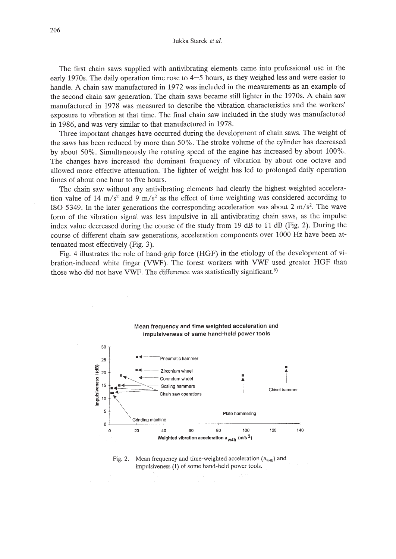Jukka Starck *et al.*

The first chain saws supplied with antivibrating elements came into professional use in the early 1970s. The daily operation time rose to 4-5 hours, as they weighed less and were easier to handle. A chain saw manufactured in 1972 was included in the measurements as an example of the second chain saw generation. The chain saws became still lighter in the 1970s. A chain saw manufactured in 1978 was measured to describe the vibration characteristics and the workers' exposure to vibration at that time. The final chain saw included in the study was manufactured in 1986, and was very similar to that manufactured in 1978.

Three important changes have occurred during the development of chain saws. The weight of the saws has been reduced by more than 50%. The stroke volume of the cylinder has decreased by about 50%. Simultaneously the rotating speed of the engine has increased by about 100%. The changes have increased the dominant frequency of vibration by about one octave and allowed more effective attenuation. The lighter of weight has led to prolonged daily operation times of about one hour to five hours.

The chain saw without any antivibrating elements had clearly the highest weighted acceleration value of 14 m/s<sup>2</sup> and 9 m/s<sup>2</sup> as the effect of time weighting was considered according to ISO 5349. In the later generations the corresponding acceleration was about 2 m/s<sup>2</sup>. The wave form of the vibration signal was less impulsive in all antivibrating chain saws, as the impulse index value decreased during the course of the study from 19 dB to 11 dB (Fig. 2). During the course of different chain saw generations, acceleration components over 1000 Hz have been attenuated most effectively (Fig. 3).

Fig. 4 illustrates the role of hand-grip force (HGF) in the etiology of the development of vibration-induced white finger (VWF). The forest workers with VWF used greater HGF than those who did not have VWF. The difference was statistically significant.<sup>6)</sup>



#### Mean frequency and time weighted acceleration and impulsiveness of same hand-held power tools

Fig. 2. Mean frequency and time-weighted acceleration  $(a_{w4h})$  and impulsiveness (I) of some hand-held power tools.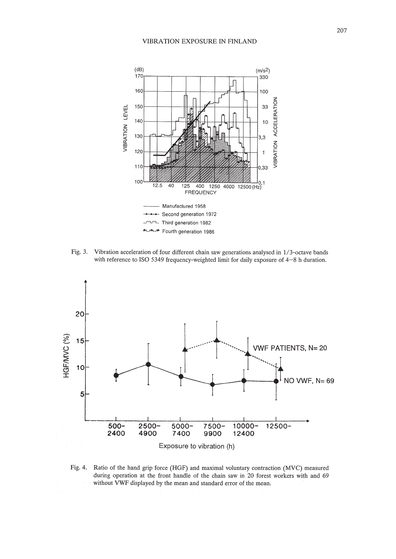

Fig. 3. Vibration acceleration of four different chain saw generations analysed in I/3-octave bands with reference to ISO 5349 frequency-weighted limit for daily exposure of 4-8 h duration.



Fig. 4. Ratio of the hand grip force (HGF) and maximal voluntary contraction (MVC) measured during operation at the front handle of the chain saw in 20 forest workers with and 69 without VWF displayed by the mean and standard error of the mean.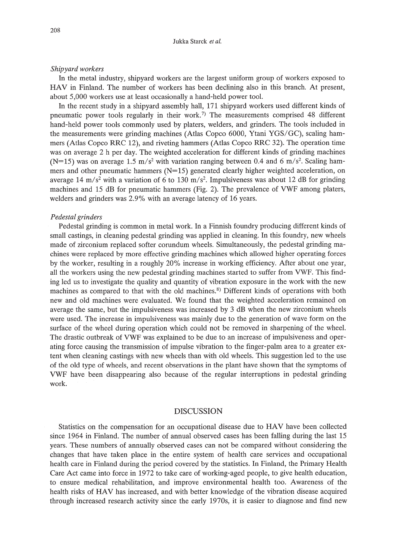#### *Shipyard workers*

In the metal industry, shipyard workers are the largest uniform group of workers exposed to HAV in Finland. The number of workers has been declining also in this branch. At present, about 5,000 workers use at least occasionally a hand-held power tool.

In the recent study in a shipyard assembly hall, 171 shipyard workers used different kinds of pneumatic power tools regularly in their work.<sup>7)</sup> The measurements comprised 48 different hand-held power tools commonly used by platers, welders, and grinders. The tools included in the measurements were grinding machines (Atlas Copco 6000, Ytani *YGS/GC),* scaling hammers (Atlas Copco RRC 12), and riveting hammers (Atlas Copco RRC 32). The operation time was on average 2 h per day. The weighted acceleration for different kinds of grinding machines (N=15) was on average 1.5  $m/s^2$  with variation ranging between 0.4 and 6  $m/s^2$ . Scaling hammers and other pneumatic hammers  $(N=15)$  generated clearly higher weighted acceleration, on average 14 *m/s2* with a variation of 6 to 130 *m/s2 •* Impulsiveness was about 12 dB for grinding machines and 15 dB for pneumatic hammers (Fig. 2). The prevalence of VWF among platers, welders and grinders was 2.9% with an average latency of 16 years.

## *Pedestal grinders*

Pedestal grinding is common in metal work. In a Finnish foundry producing different kinds of small castings, in cleaning pedestal grinding was applied in cleaning. In this foundry, new wheels made of zirconium replaced softer corundum wheels. Simultaneously, the pedestal grinding machines were replaced by more effective grinding machines which allowed higher operating forces by the worker, resulting in a roughly 20% increase in working efficiency. After about one year, all the workers using the new pedestal grinding machines started to suffer from VWF. This finding led us to investigate the quality and quantity of vibration exposure in the work with the new machines as compared to that with the old machines.<sup>8)</sup> Different kinds of operations with both new and old machines were evaluated. We found that the weighted acceleration remained on average the same, but the impulsiveness was increased by 3 dB when the new zirconium wheels were used. The increase in impulsiveness was mainly due to the generation of wave form on the surface of the wheel during operation which could not be removed in sharpening of the wheel. The drastic outbreak of VWF was explained to be due to an increase of impulsiveness and operating force causing the transmission of impulse vibration to the finger-palm area to a greater extent when cleaning castings with new wheels than with old wheels. This suggestion led to the use of the old type of wheels, and recent observations in the plant have shown that the symptoms of VWF have been disappearing also because of the regular interruptions in pedestal grinding work.

## DISCUSSION

Statistics on the compensation for an occupational disease due to HAV have been collected since 1964 in Finland. The number of annual observed cases has been falling during the last 15 years. These numbers of annually observed cases can not be compared without considering the changes that have taken place in the entire system of health care services and occupational health care in Finland during the period covered by the statistics. In Finland, the Primary Health Care Act came into force in 1972 to take care of working-aged people, to give health education, to ensure medical rehabilitation, and improve environmental health too. Awareness of the health risks of HAV has increased, and with better knowledge of the vibration disease acquired through increased research activity since the early 1970s, it is easier to diagnose and find new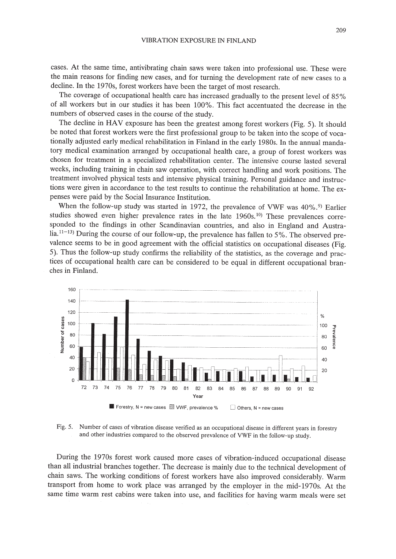cases. At the same time, antivibrating chain saws were taken into professional use. These were the main reasons for finding new cases, and for turning the development rate of new cases to a decline. **In** the 1970s, forest workers have been the target of most research.

The coverage of occupational health care has increased gradually to the present level of 85% of all workers but in our studies it has been 100%. This fact accentuated the decrease in the numbers of observed cases in the course of the study.

The decline in HAV exposure has been the greatest among forest workers (Fig. 5). It should be noted that forest workers were the first professional group to be taken into the scope of vocationally adjusted early medical rehabilitation in Finland in the early 1980s. **In** the annual mandatory medical examination arranged by occupational health care, a group of forest workers was chosen for treatment in a specialized rehabilitation center. The intensive course lasted several weeks, including training in chain saw operation, with correct handling and work positions. The treatment involved physical tests and intensive physical training. Personal guidance and instructions were given in accordance to the test results to continue the rehabilitation at home. The expenses were paid by the Social Insurance Institution.

When the follow-up study was started in 1972, the prevalence of VWF was 40%.<sup>9)</sup> Earlier studies showed even higher prevalence rates in the late  $1960s$ .<sup>10)</sup> These prevalences corresponded to the findings in other Scandinavian countries, and also in England and Australia.<sup>11-13)</sup> During the course of our follow-up, the prevalence has fallen to 5%. The observed prevalence seems to be in good agreement with the official statistics on occupational diseases (Fig. 5). Thus the follow-up study confirms the reliability of the statistics, as the coverage and practices of occupational health care can be considered to be equal in different occupational branches in Finland.



Fig. 5. Number of cases of vibration disease verified as an occupational disease in different years in forestry and other industries compared to the observed prevalence of VWF in the follow-up study.

During the 1970s forest work caused more cases of vibration-induced occupational disease than all industrial branches together. The decrease is mainly due to the technical development of chain saws. The working conditions of forest workers have also improved considerably. Warm transport from home to work place was arranged by the employer in the mid-1970s. At the same time warm rest cabins were taken into use, and facilities for having warm meals were set